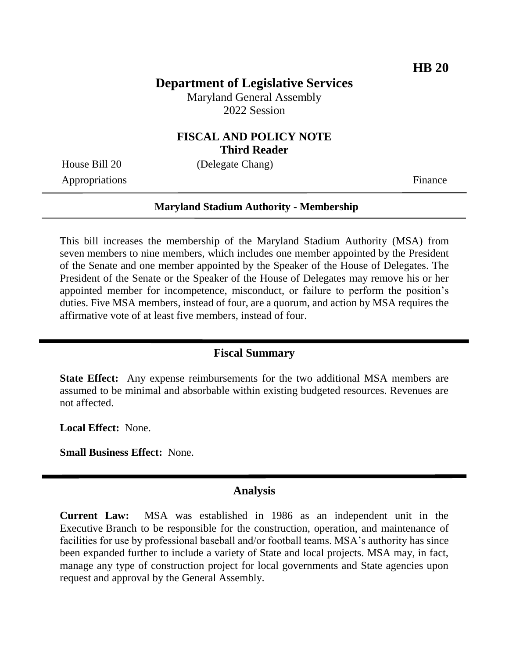# **Department of Legislative Services**

Maryland General Assembly 2022 Session

### **FISCAL AND POLICY NOTE Third Reader**

House Bill 20 (Delegate Chang)

Appropriations Finance

# **Maryland Stadium Authority - Membership**

This bill increases the membership of the Maryland Stadium Authority (MSA) from seven members to nine members, which includes one member appointed by the President of the Senate and one member appointed by the Speaker of the House of Delegates. The President of the Senate or the Speaker of the House of Delegates may remove his or her appointed member for incompetence, misconduct, or failure to perform the position's duties. Five MSA members, instead of four, are a quorum, and action by MSA requires the affirmative vote of at least five members, instead of four.

#### **Fiscal Summary**

**State Effect:** Any expense reimbursements for the two additional MSA members are assumed to be minimal and absorbable within existing budgeted resources. Revenues are not affected.

**Local Effect:** None.

**Small Business Effect:** None.

#### **Analysis**

**Current Law:** MSA was established in 1986 as an independent unit in the Executive Branch to be responsible for the construction, operation, and maintenance of facilities for use by professional baseball and/or football teams. MSA's authority has since been expanded further to include a variety of State and local projects. MSA may, in fact, manage any type of construction project for local governments and State agencies upon request and approval by the General Assembly.